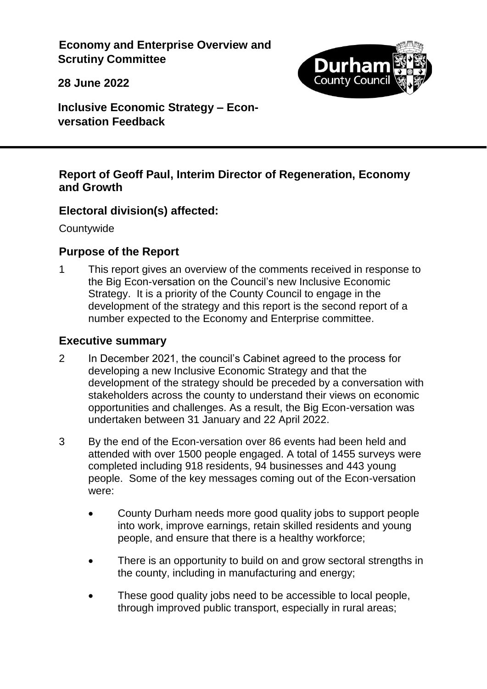**Economy and Enterprise Overview and Scrutiny Committee**

**28 June 2022**



**Inclusive Economic Strategy – Econversation Feedback**

### **Report of Geoff Paul, Interim Director of Regeneration, Economy and Growth**

## **Electoral division(s) affected:**

**Countywide** 

## **Purpose of the Report**

1 This report gives an overview of the comments received in response to the Big Econ-versation on the Council's new Inclusive Economic Strategy. It is a priority of the County Council to engage in the development of the strategy and this report is the second report of a number expected to the Economy and Enterprise committee.

# **Executive summary**

- 2 In December 2021, the council's Cabinet agreed to the process for developing a new Inclusive Economic Strategy and that the development of the strategy should be preceded by a conversation with stakeholders across the county to understand their views on economic opportunities and challenges. As a result, the Big Econ-versation was undertaken between 31 January and 22 April 2022.
- 3 By the end of the Econ-versation over 86 events had been held and attended with over 1500 people engaged. A total of 1455 surveys were completed including 918 residents, 94 businesses and 443 young people. Some of the key messages coming out of the Econ-versation were:
	- County Durham needs more good quality jobs to support people into work, improve earnings, retain skilled residents and young people, and ensure that there is a healthy workforce;
	- There is an opportunity to build on and grow sectoral strengths in the county, including in manufacturing and energy;
	- These good quality jobs need to be accessible to local people, through improved public transport, especially in rural areas;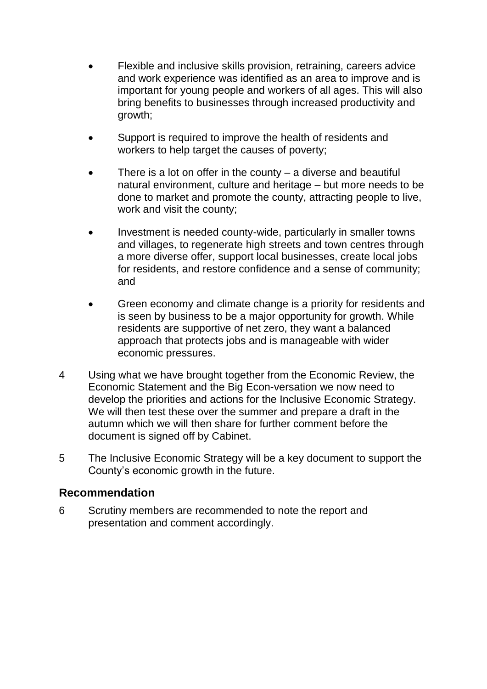- Flexible and inclusive skills provision, retraining, careers advice and work experience was identified as an area to improve and is important for young people and workers of all ages. This will also bring benefits to businesses through increased productivity and growth;
- Support is required to improve the health of residents and workers to help target the causes of poverty;
- There is a lot on offer in the county  $-$  a diverse and beautiful natural environment, culture and heritage – but more needs to be done to market and promote the county, attracting people to live, work and visit the county;
- Investment is needed county-wide, particularly in smaller towns and villages, to regenerate high streets and town centres through a more diverse offer, support local businesses, create local jobs for residents, and restore confidence and a sense of community; and
- Green economy and climate change is a priority for residents and is seen by business to be a major opportunity for growth. While residents are supportive of net zero, they want a balanced approach that protects jobs and is manageable with wider economic pressures.
- 4 Using what we have brought together from the Economic Review, the Economic Statement and the Big Econ-versation we now need to develop the priorities and actions for the Inclusive Economic Strategy. We will then test these over the summer and prepare a draft in the autumn which we will then share for further comment before the document is signed off by Cabinet.
- 5 The Inclusive Economic Strategy will be a key document to support the County's economic growth in the future.

## **Recommendation**

6 Scrutiny members are recommended to note the report and presentation and comment accordingly.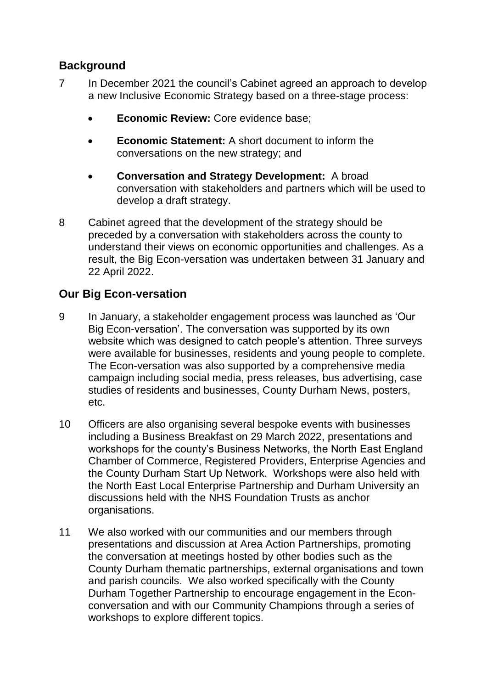# **Background**

- 7 In December 2021 the council's Cabinet agreed an approach to develop a new Inclusive Economic Strategy based on a three-stage process:
	- **Economic Review:** Core evidence base;
	- **Economic Statement:** A short document to inform the conversations on the new strategy; and
	- **Conversation and Strategy Development:** A broad conversation with stakeholders and partners which will be used to develop a draft strategy.
- 8 Cabinet agreed that the development of the strategy should be preceded by a conversation with stakeholders across the county to understand their views on economic opportunities and challenges. As a result, the Big Econ-versation was undertaken between 31 January and 22 April 2022.

# **Our Big Econ-versation**

- 9 In January, a stakeholder engagement process was launched as 'Our Big Econ-versation'. The conversation was supported by its own website which was designed to catch people's attention. Three surveys were available for businesses, residents and young people to complete. The Econ-versation was also supported by a comprehensive media campaign including social media, press releases, bus advertising, case studies of residents and businesses, County Durham News, posters, etc.
- 10 Officers are also organising several bespoke events with businesses including a Business Breakfast on 29 March 2022, presentations and workshops for the county's Business Networks, the North East England Chamber of Commerce, Registered Providers, Enterprise Agencies and the County Durham Start Up Network. Workshops were also held with the North East Local Enterprise Partnership and Durham University an discussions held with the NHS Foundation Trusts as anchor organisations.
- 11 We also worked with our communities and our members through presentations and discussion at Area Action Partnerships, promoting the conversation at meetings hosted by other bodies such as the County Durham thematic partnerships, external organisations and town and parish councils. We also worked specifically with the County Durham Together Partnership to encourage engagement in the Econconversation and with our Community Champions through a series of workshops to explore different topics.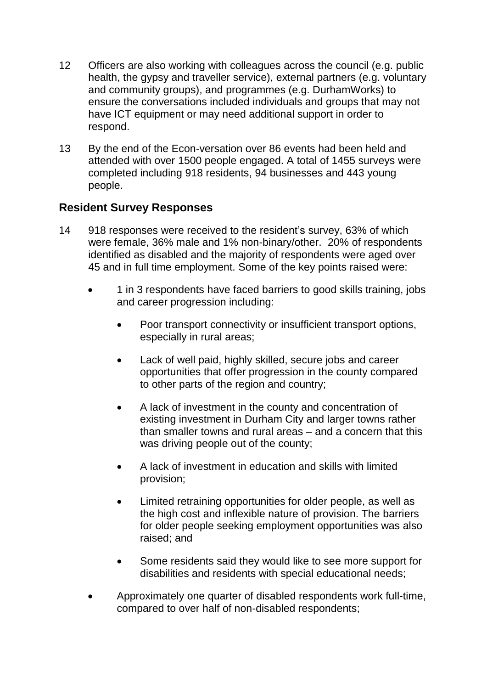- 12 Officers are also working with colleagues across the council (e.g. public health, the gypsy and traveller service), external partners (e.g. voluntary and community groups), and programmes (e.g. DurhamWorks) to ensure the conversations included individuals and groups that may not have ICT equipment or may need additional support in order to respond.
- 13 By the end of the Econ-versation over 86 events had been held and attended with over 1500 people engaged. A total of 1455 surveys were completed including 918 residents, 94 businesses and 443 young people.

## **Resident Survey Responses**

- 14 918 responses were received to the resident's survey, 63% of which were female, 36% male and 1% non-binary/other. 20% of respondents identified as disabled and the majority of respondents were aged over 45 and in full time employment. Some of the key points raised were:
	- 1 in 3 respondents have faced barriers to good skills training, jobs and career progression including:
		- Poor transport connectivity or insufficient transport options, especially in rural areas;
		- Lack of well paid, highly skilled, secure jobs and career opportunities that offer progression in the county compared to other parts of the region and country;
		- A lack of investment in the county and concentration of existing investment in Durham City and larger towns rather than smaller towns and rural areas – and a concern that this was driving people out of the county;
		- A lack of investment in education and skills with limited provision;
		- Limited retraining opportunities for older people, as well as the high cost and inflexible nature of provision. The barriers for older people seeking employment opportunities was also raised; and
		- Some residents said they would like to see more support for disabilities and residents with special educational needs;
	- Approximately one quarter of disabled respondents work full-time, compared to over half of non-disabled respondents;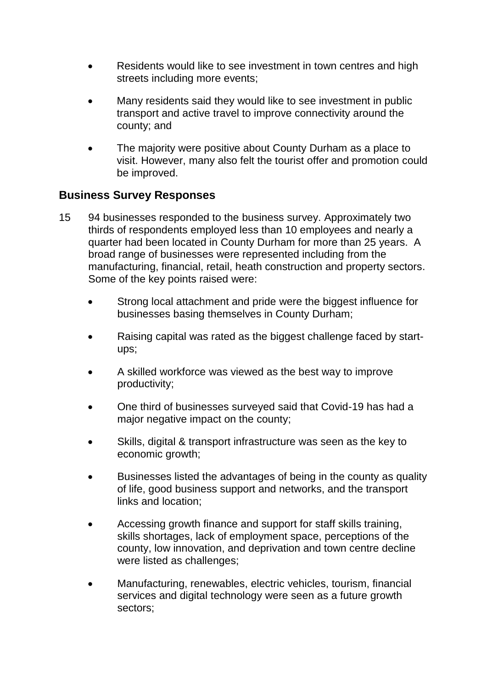- Residents would like to see investment in town centres and high streets including more events;
- Many residents said they would like to see investment in public transport and active travel to improve connectivity around the county; and
- The majority were positive about County Durham as a place to visit. However, many also felt the tourist offer and promotion could be improved.

## **Business Survey Responses**

- 15 94 businesses responded to the business survey. Approximately two thirds of respondents employed less than 10 employees and nearly a quarter had been located in County Durham for more than 25 years. A broad range of businesses were represented including from the manufacturing, financial, retail, heath construction and property sectors. Some of the key points raised were:
	- Strong local attachment and pride were the biggest influence for businesses basing themselves in County Durham;
	- Raising capital was rated as the biggest challenge faced by startups;
	- A skilled workforce was viewed as the best way to improve productivity;
	- One third of businesses surveyed said that Covid-19 has had a major negative impact on the county;
	- Skills, digital & transport infrastructure was seen as the key to economic growth;
	- Businesses listed the advantages of being in the county as quality of life, good business support and networks, and the transport links and location;
	- Accessing growth finance and support for staff skills training, skills shortages, lack of employment space, perceptions of the county, low innovation, and deprivation and town centre decline were listed as challenges;
	- Manufacturing, renewables, electric vehicles, tourism, financial services and digital technology were seen as a future growth sectors;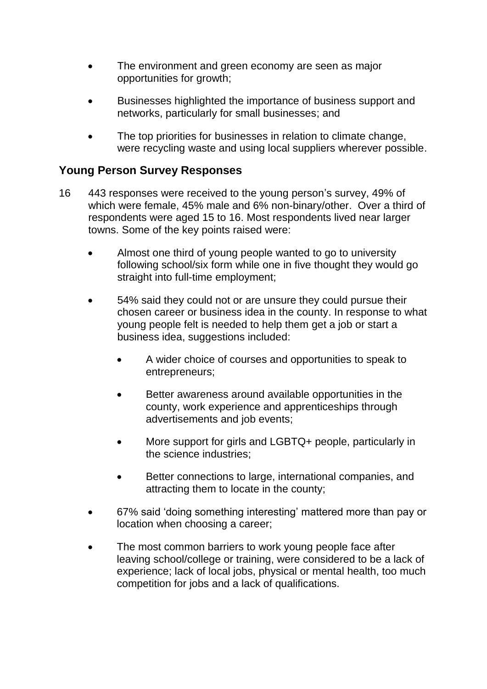- The environment and green economy are seen as major opportunities for growth;
- Businesses highlighted the importance of business support and networks, particularly for small businesses; and
- The top priorities for businesses in relation to climate change, were recycling waste and using local suppliers wherever possible.

### **Young Person Survey Responses**

- 16 443 responses were received to the young person's survey, 49% of which were female, 45% male and 6% non-binary/other. Over a third of respondents were aged 15 to 16. Most respondents lived near larger towns. Some of the key points raised were:
	- Almost one third of young people wanted to go to university following school/six form while one in five thought they would go straight into full-time employment;
	- 54% said they could not or are unsure they could pursue their chosen career or business idea in the county. In response to what young people felt is needed to help them get a job or start a business idea, suggestions included:
		- A wider choice of courses and opportunities to speak to entrepreneurs;
		- Better awareness around available opportunities in the county, work experience and apprenticeships through advertisements and job events;
		- More support for girls and LGBTQ+ people, particularly in the science industries;
		- Better connections to large, international companies, and attracting them to locate in the county;
	- 67% said 'doing something interesting' mattered more than pay or location when choosing a career;
	- The most common barriers to work young people face after leaving school/college or training, were considered to be a lack of experience; lack of local jobs, physical or mental health, too much competition for jobs and a lack of qualifications.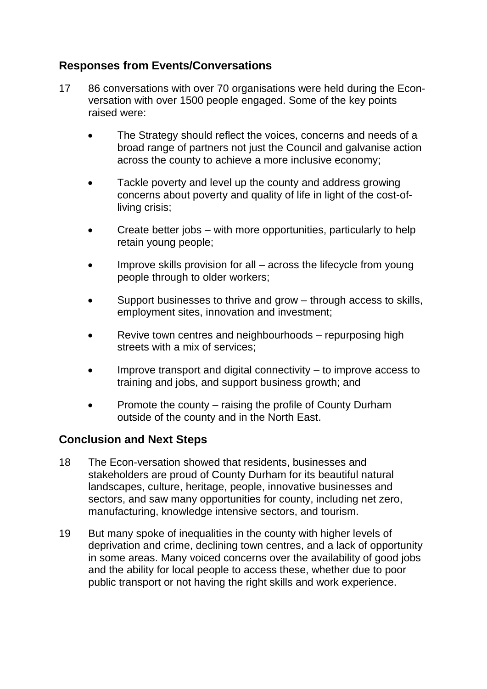# **Responses from Events/Conversations**

- 17 86 conversations with over 70 organisations were held during the Econversation with over 1500 people engaged. Some of the key points raised were:
	- The Strategy should reflect the voices, concerns and needs of a broad range of partners not just the Council and galvanise action across the county to achieve a more inclusive economy;
	- Tackle poverty and level up the county and address growing concerns about poverty and quality of life in light of the cost-ofliving crisis;
	- Create better jobs with more opportunities, particularly to help retain young people;
	- Improve skills provision for all across the lifecycle from young people through to older workers;
	- Support businesses to thrive and grow through access to skills, employment sites, innovation and investment;
	- Revive town centres and neighbourhoods repurposing high streets with a mix of services;
	- Improve transport and digital connectivity to improve access to training and jobs, and support business growth; and
	- Promote the county raising the profile of County Durham outside of the county and in the North East.

## **Conclusion and Next Steps**

- 18 The Econ-versation showed that residents, businesses and stakeholders are proud of County Durham for its beautiful natural landscapes, culture, heritage, people, innovative businesses and sectors, and saw many opportunities for county, including net zero, manufacturing, knowledge intensive sectors, and tourism.
- 19 But many spoke of inequalities in the county with higher levels of deprivation and crime, declining town centres, and a lack of opportunity in some areas. Many voiced concerns over the availability of good jobs and the ability for local people to access these, whether due to poor public transport or not having the right skills and work experience.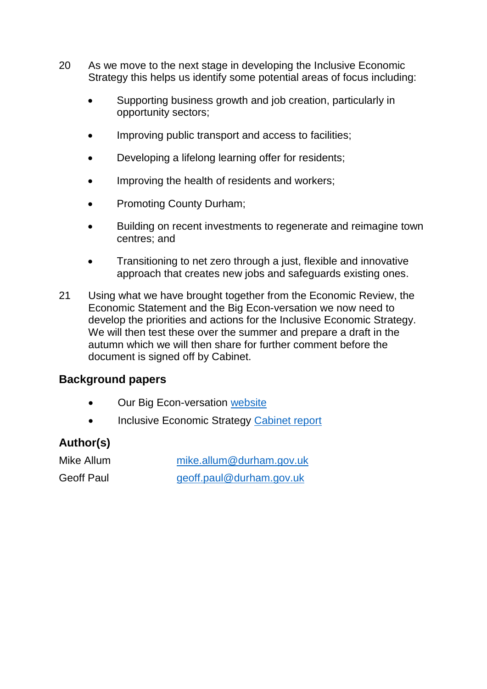- 20 As we move to the next stage in developing the Inclusive Economic Strategy this helps us identify some potential areas of focus including:
	- Supporting business growth and job creation, particularly in opportunity sectors;
	- Improving public transport and access to facilities;
	- Developing a lifelong learning offer for residents;
	- Improving the health of residents and workers;
	- Promoting County Durham;
	- Building on recent investments to regenerate and reimagine town centres; and
	- Transitioning to net zero through a just, flexible and innovative approach that creates new jobs and safeguards existing ones.
- 21 Using what we have brought together from the Economic Review, the Economic Statement and the Big Econ-versation we now need to develop the priorities and actions for the Inclusive Economic Strategy. We will then test these over the summer and prepare a draft in the autumn which we will then share for further comment before the document is signed off by Cabinet.

## **Background papers**

- Our Big Econ-versation [website](https://durhamecon-versation.co.uk/)
- Inclusive Economic Strategy [Cabinet report](https://democracy.durham.gov.uk/ieListDocuments.aspx?CId=154&MId=12638&Ver=4)

# **Author(s)**

Mike Allum [mike.allum@durham.gov.uk](mailto:mike.allum@durham.gov.uk) Geoff Paul [geoff.paul@durham.gov.uk](mailto:geoff.paul@durham.gov.uk)